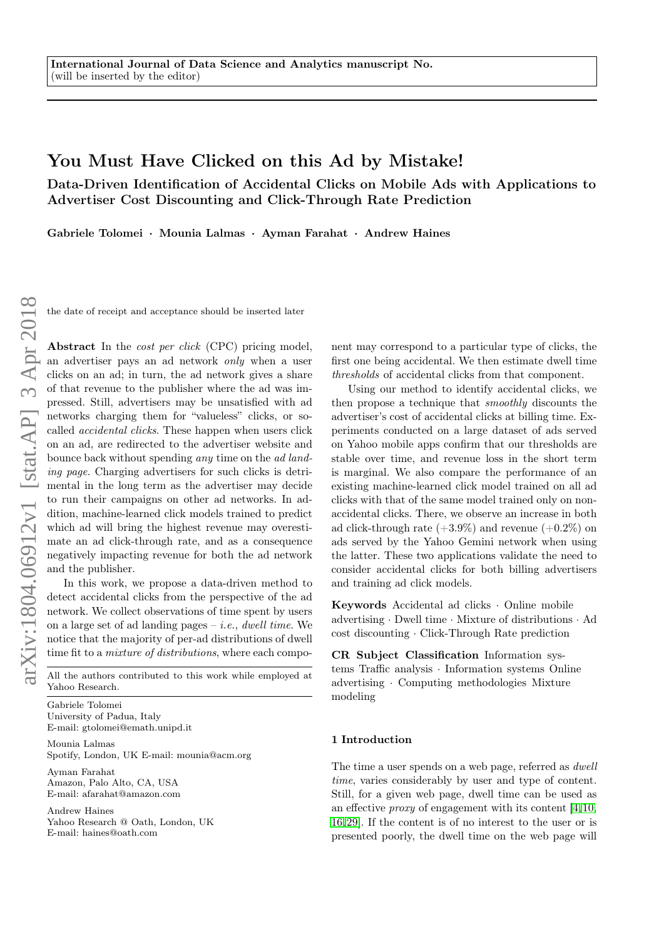# You Must Have Clicked on this Ad by Mistake! Data-Driven Identification of Accidental Clicks on Mobile Ads with Applications to Advertiser Cost Discounting and Click-Through Rate Prediction

Gabriele Tolomei · Mounia Lalmas · Ayman Farahat · Andrew Haines

the date of receipt and acceptance should be inserted later

Abstract In the *cost per click* (CPC) pricing model, an advertiser pays an ad network only when a user clicks on an ad; in turn, the ad network gives a share of that revenue to the publisher where the ad was impressed. Still, advertisers may be unsatisfied with ad networks charging them for "valueless" clicks, or socalled accidental clicks. These happen when users click on an ad, are redirected to the advertiser website and bounce back without spending any time on the ad landing page. Charging advertisers for such clicks is detrimental in the long term as the advertiser may decide to run their campaigns on other ad networks. In addition, machine-learned click models trained to predict which ad will bring the highest revenue may overestimate an ad click-through rate, and as a consequence negatively impacting revenue for both the ad network and the publisher.

In this work, we propose a data-driven method to detect accidental clicks from the perspective of the ad network. We collect observations of time spent by users on a large set of ad landing pages  $-i.e.,$  dwell time. We notice that the majority of per-ad distributions of dwell time fit to a *mixture of distributions*, where each compo-

All the authors contributed to this work while employed at Yahoo Research.

Gabriele Tolomei University of Padua, Italy E-mail: gtolomei@emath.unipd.it

Mounia Lalmas Spotify, London, UK E-mail: mounia@acm.org

Ayman Farahat Amazon, Palo Alto, CA, USA E-mail: afarahat@amazon.com

Andrew Haines Yahoo Research @ Oath, London, UK E-mail: haines@oath.com

nent may correspond to a particular type of clicks, the first one being accidental. We then estimate dwell time thresholds of accidental clicks from that component.

Using our method to identify accidental clicks, we then propose a technique that smoothly discounts the advertiser's cost of accidental clicks at billing time. Experiments conducted on a large dataset of ads served on Yahoo mobile apps confirm that our thresholds are stable over time, and revenue loss in the short term is marginal. We also compare the performance of an existing machine-learned click model trained on all ad clicks with that of the same model trained only on nonaccidental clicks. There, we observe an increase in both ad click-through rate  $(+3.9\%)$  and revenue  $(+0.2\%)$  on ads served by the Yahoo Gemini network when using the latter. These two applications validate the need to consider accidental clicks for both billing advertisers and training ad click models.

Keywords Accidental ad clicks · Online mobile advertising · Dwell time · Mixture of distributions · Ad cost discounting · Click-Through Rate prediction

CR Subject Classification Information systems Traffic analysis · Information systems Online advertising · Computing methodologies Mixture modeling

## <span id="page-0-0"></span>1 Introduction

The time a user spends on a web page, referred as dwell time, varies considerably by user and type of content. Still, for a given web page, dwell time can be used as an effective proxy of engagement with its content [\[4,](#page-12-0)[10,](#page-13-0) [16,](#page-13-1)[29\]](#page-13-2). If the content is of no interest to the user or is presented poorly, the dwell time on the web page will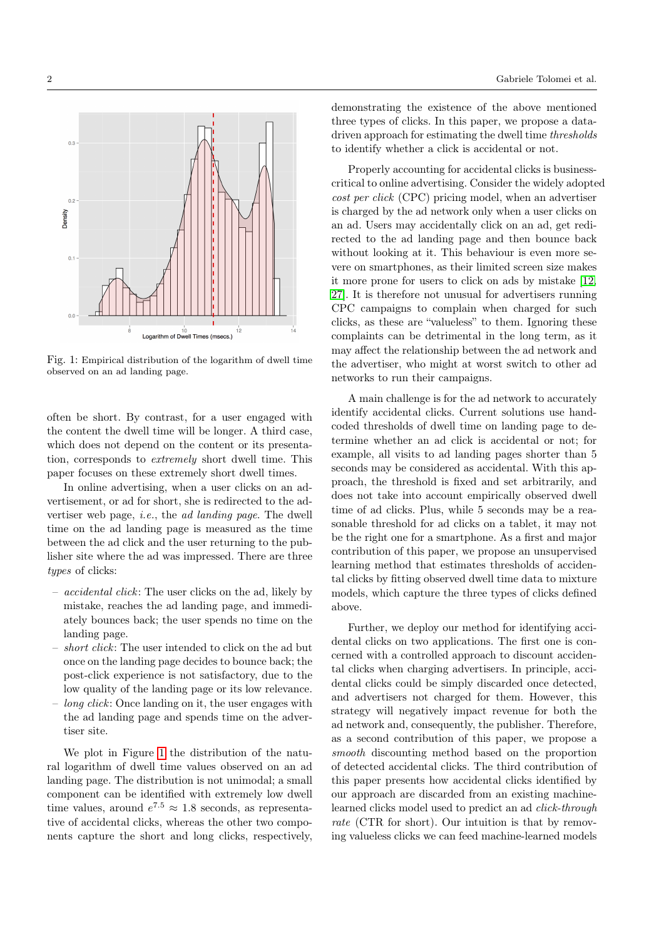<span id="page-1-0"></span>

Fig. 1: Empirical distribution of the logarithm of dwell time observed on an ad landing page.

often be short. By contrast, for a user engaged with the content the dwell time will be longer. A third case, which does not depend on the content or its presentation, corresponds to extremely short dwell time. This paper focuses on these extremely short dwell times.

In online advertising, when a user clicks on an advertisement, or ad for short, she is redirected to the advertiser web page, i.e., the ad landing page. The dwell time on the ad landing page is measured as the time between the ad click and the user returning to the publisher site where the ad was impressed. There are three types of clicks:

- *accidental click*: The user clicks on the ad, likely by mistake, reaches the ad landing page, and immediately bounces back; the user spends no time on the landing page.
- short click: The user intended to click on the ad but once on the landing page decides to bounce back; the post-click experience is not satisfactory, due to the low quality of the landing page or its low relevance.
- long click: Once landing on it, the user engages with the ad landing page and spends time on the advertiser site.

We plot in Figure [1](#page-1-0) the distribution of the natural logarithm of dwell time values observed on an ad landing page. The distribution is not unimodal; a small component can be identified with extremely low dwell time values, around  $e^{7.5} \approx 1.8$  seconds, as representative of accidental clicks, whereas the other two components capture the short and long clicks, respectively,

demonstrating the existence of the above mentioned three types of clicks. In this paper, we propose a datadriven approach for estimating the dwell time thresholds to identify whether a click is accidental or not.

Properly accounting for accidental clicks is businesscritical to online advertising. Consider the widely adopted cost per click (CPC) pricing model, when an advertiser is charged by the ad network only when a user clicks on an ad. Users may accidentally click on an ad, get redirected to the ad landing page and then bounce back without looking at it. This behaviour is even more severe on smartphones, as their limited screen size makes it more prone for users to click on ads by mistake [\[12,](#page-13-3) [27\]](#page-13-4). It is therefore not unusual for advertisers running CPC campaigns to complain when charged for such clicks, as these are "valueless" to them. Ignoring these complaints can be detrimental in the long term, as it may affect the relationship between the ad network and the advertiser, who might at worst switch to other ad networks to run their campaigns.

A main challenge is for the ad network to accurately identify accidental clicks. Current solutions use handcoded thresholds of dwell time on landing page to determine whether an ad click is accidental or not; for example, all visits to ad landing pages shorter than 5 seconds may be considered as accidental. With this approach, the threshold is fixed and set arbitrarily, and does not take into account empirically observed dwell time of ad clicks. Plus, while 5 seconds may be a reasonable threshold for ad clicks on a tablet, it may not be the right one for a smartphone. As a first and major contribution of this paper, we propose an unsupervised learning method that estimates thresholds of accidental clicks by fitting observed dwell time data to mixture models, which capture the three types of clicks defined above.

Further, we deploy our method for identifying accidental clicks on two applications. The first one is concerned with a controlled approach to discount accidental clicks when charging advertisers. In principle, accidental clicks could be simply discarded once detected, and advertisers not charged for them. However, this strategy will negatively impact revenue for both the ad network and, consequently, the publisher. Therefore, as a second contribution of this paper, we propose a smooth discounting method based on the proportion of detected accidental clicks. The third contribution of this paper presents how accidental clicks identified by our approach are discarded from an existing machinelearned clicks model used to predict an ad click-through rate (CTR for short). Our intuition is that by removing valueless clicks we can feed machine-learned models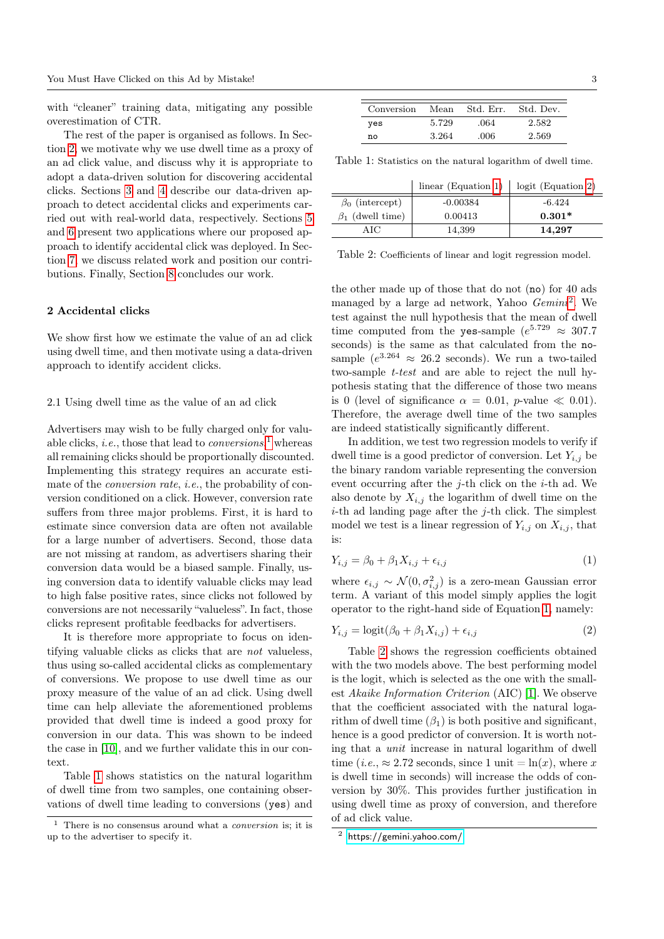with "cleaner" training data, mitigating any possible overestimation of CTR.

The rest of the paper is organised as follows. In Section [2,](#page-2-0) we motivate why we use dwell time as a proxy of an ad click value, and discuss why it is appropriate to adopt a data-driven solution for discovering accidental clicks. Sections [3](#page-3-0) and [4](#page-5-0) describe our data-driven approach to detect accidental clicks and experiments carried out with real-world data, respectively. Sections [5](#page-7-0) and [6](#page-11-0) present two applications where our proposed approach to identify accidental click was deployed. In Section [7,](#page-11-1) we discuss related work and position our contributions. Finally, Section [8](#page-12-1) concludes our work.

# <span id="page-2-0"></span>2 Accidental clicks

We show first how we estimate the value of an ad click using dwell time, and then motivate using a data-driven approach to identify accident clicks.

#### 2.1 Using dwell time as the value of an ad click

Advertisers may wish to be fully charged only for valuable clicks, *i.e.*, those that lead to *conversions*,<sup>[1](#page-2-1)</sup> whereas all remaining clicks should be proportionally discounted. Implementing this strategy requires an accurate estimate of the conversion rate, i.e., the probability of conversion conditioned on a click. However, conversion rate suffers from three major problems. First, it is hard to estimate since conversion data are often not available for a large number of advertisers. Second, those data are not missing at random, as advertisers sharing their conversion data would be a biased sample. Finally, using conversion data to identify valuable clicks may lead to high false positive rates, since clicks not followed by conversions are not necessarily "valueless". In fact, those clicks represent profitable feedbacks for advertisers.

It is therefore more appropriate to focus on identifying valuable clicks as clicks that are not valueless, thus using so-called accidental clicks as complementary of conversions. We propose to use dwell time as our proxy measure of the value of an ad click. Using dwell time can help alleviate the aforementioned problems provided that dwell time is indeed a good proxy for conversion in our data. This was shown to be indeed the case in [\[10\]](#page-13-0), and we further validate this in our context.

Table [1](#page-2-2) shows statistics on the natural logarithm of dwell time from two samples, one containing observations of dwell time leading to conversions (yes) and

<span id="page-2-2"></span>

| Conversion | Mean  |      | Std. Err. Std. Dev. |
|------------|-------|------|---------------------|
| ves        | 5.729 | .064 | 2.582               |
| no         | 3.264 | .006 | 2.569               |

Table 1: Statistics on the natural logarithm of dwell time.

<span id="page-2-6"></span>

|                        | linear (Equation 1) $\vert$ | logit (Equation 2) |
|------------------------|-----------------------------|--------------------|
| $\beta_0$ (intercept)  | $-0.00384$                  | $-6.424$           |
| $\beta_1$ (dwell time) | 0.00413                     | $0.301*$           |
| AIC                    | 14.399                      | 14,297             |

Table 2: Coefficients of linear and logit regression model.

the other made up of those that do not (no) for 40 ads managed by a large ad network, Yahoo Gemini<sup>[2](#page-2-5)</sup>. We test against the null hypothesis that the mean of dwell time computed from the yes-sample  $(e^{5.729} \approx 307.7$ seconds) is the same as that calculated from the nosample ( $e^{3.264} \approx 26.2$  seconds). We run a two-tailed two-sample t-test and are able to reject the null hypothesis stating that the difference of those two means is 0 (level of significance  $\alpha = 0.01$ , *p*-value  $\ll 0.01$ ). Therefore, the average dwell time of the two samples are indeed statistically significantly different.

In addition, we test two regression models to verify if dwell time is a good predictor of conversion. Let  $Y_{i,j}$  be the binary random variable representing the conversion event occurring after the  $i$ -th click on the  $i$ -th ad. We also denote by  $X_{i,j}$  the logarithm of dwell time on the  $i$ -th ad landing page after the  $j$ -th click. The simplest model we test is a linear regression of  $Y_{i,j}$  on  $X_{i,j}$ , that is:

<span id="page-2-3"></span>
$$
Y_{i,j} = \beta_0 + \beta_1 X_{i,j} + \epsilon_{i,j} \tag{1}
$$

where  $\epsilon_{i,j} \sim \mathcal{N}(0, \sigma_{i,j}^2)$  is a zero-mean Gaussian error term. A variant of this model simply applies the logit operator to the right-hand side of Equation [1,](#page-2-3) namely:

<span id="page-2-4"></span>
$$
Y_{i,j} = \text{logit}(\beta_0 + \beta_1 X_{i,j}) + \epsilon_{i,j} \tag{2}
$$

Table [2](#page-2-6) shows the regression coefficients obtained with the two models above. The best performing model is the logit, which is selected as the one with the smallest Akaike Information Criterion (AIC) [\[1\]](#page-12-2). We observe that the coefficient associated with the natural logarithm of dwell time  $(\beta_1)$  is both positive and significant, hence is a good predictor of conversion. It is worth noting that a unit increase in natural logarithm of dwell time (*i.e.*,  $\approx 2.72$  seconds, since 1 unit = ln(*x*), where *x* is dwell time in seconds) will increase the odds of conversion by 30%. This provides further justification in using dwell time as proxy of conversion, and therefore of ad click value.

<span id="page-2-1"></span>There is no consensus around what a *conversion* is; it is up to the advertiser to specify it.

<span id="page-2-5"></span><sup>2</sup> <https://gemini.yahoo.com/>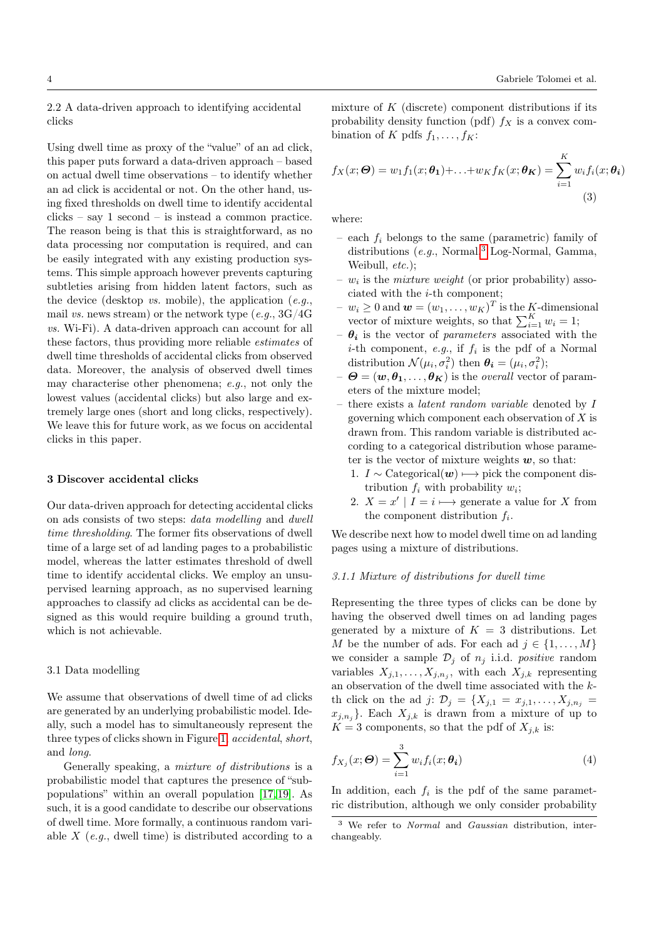# 2.2 A data-driven approach to identifying accidental clicks

Using dwell time as proxy of the "value" of an ad click, this paper puts forward a data-driven approach – based on actual dwell time observations – to identify whether an ad click is accidental or not. On the other hand, using fixed thresholds on dwell time to identify accidental clicks – say 1 second – is instead a common practice. The reason being is that this is straightforward, as no data processing nor computation is required, and can be easily integrated with any existing production systems. This simple approach however prevents capturing subtleties arising from hidden latent factors, such as the device (desktop vs. mobile), the application (e.g., mail vs. news stream) or the network type  $(e.g., 3G/4G)$ vs. Wi-Fi). A data-driven approach can account for all these factors, thus providing more reliable estimates of dwell time thresholds of accidental clicks from observed data. Moreover, the analysis of observed dwell times may characterise other phenomena; e.g., not only the lowest values (accidental clicks) but also large and extremely large ones (short and long clicks, respectively). We leave this for future work, as we focus on accidental clicks in this paper.

#### <span id="page-3-0"></span>3 Discover accidental clicks

Our data-driven approach for detecting accidental clicks on ads consists of two steps: data modelling and dwell time thresholding. The former fits observations of dwell time of a large set of ad landing pages to a probabilistic model, whereas the latter estimates threshold of dwell time to identify accidental clicks. We employ an unsupervised learning approach, as no supervised learning approaches to classify ad clicks as accidental can be designed as this would require building a ground truth, which is not achievable.

## 3.1 Data modelling

We assume that observations of dwell time of ad clicks are generated by an underlying probabilistic model. Ideally, such a model has to simultaneously represent the three types of clicks shown in Figure [1,](#page-1-0) accidental, short, and long.

Generally speaking, a mixture of distributions is a probabilistic model that captures the presence of "subpopulations" within an overall population [\[17,](#page-13-5)[19\]](#page-13-6). As such, it is a good candidate to describe our observations of dwell time. More formally, a continuous random variable  $X$  (e.g., dwell time) is distributed according to a

mixture of  $K$  (discrete) component distributions if its probability density function (pdf)  $f_X$  is a convex combination of K pdfs  $f_1, \ldots, f_K$ :

$$
f_X(x; \Theta) = w_1 f_1(x; \theta_1) + \ldots + w_K f_K(x; \theta_K) = \sum_{i=1}^K w_i f_i(x; \theta_i)
$$
\n(3)

where:

- each  $f_i$  belongs to the same (parametric) family of distributions  $(e.g., Normal, 3$  $(e.g., Normal, 3$  Log-Normal, Gamma, Weibull, etc.):
- $w_i$  is the *mixture weight* (or prior probability) associated with the i-th component;
- $-w_i\geq 0\text{ and }\boldsymbol{w}=(w_1,\ldots,w_K)^T\text{ is the }K\text{-dimensional }$ vector of mixture weights, so that  $\sum_{i=1}^{K} w_i = 1$ ;
- $\theta_i$  is the vector of parameters associated with the *i*-th component, *e.g.*, if  $f_i$  is the pdf of a Normal distribution  $\mathcal{N}(\mu_i, \sigma_i^2)$  then  $\theta_i = (\mu_i, \sigma_i^2);$
- $-\boldsymbol{\Theta} = (\boldsymbol{w}, \boldsymbol{\theta_1}, \dots, \boldsymbol{\theta_K})$  is the *overall* vector of parameters of the mixture model;
- there exists a latent random variable denoted by I governing which component each observation of  $X$  is drawn from. This random variable is distributed according to a categorical distribution whose parameter is the vector of mixture weights  $w$ , so that:
	- 1.  $I \sim$  Categorical( $w$ )  $\longmapsto$  pick the component distribution  $f_i$  with probability  $w_i$ ;
	- 2.  $X = x' | I = i \longrightarrow$  generate a value for X from the component distribution  $f_i$ .

We describe next how to model dwell time on ad landing pages using a mixture of distributions.

# 3.1.1 Mixture of distributions for dwell time

Representing the three types of clicks can be done by having the observed dwell times on ad landing pages generated by a mixture of  $K = 3$  distributions. Let M be the number of ads. For each ad  $j \in \{1, \ldots, M\}$ we consider a sample  $\mathcal{D}_j$  of  $n_j$  i.i.d. *positive* random variables  $X_{j,1}, \ldots, X_{j,n_j}$ , with each  $X_{j,k}$  representing an observation of the dwell time associated with the kth click on the ad  $j: \mathcal{D}_j = \{X_{j,1} = x_{j,1}, \ldots, X_{j,n_j} =$  $x_{j,n_j}$ . Each  $X_{j,k}$  is drawn from a mixture of up to  $K = 3$  components, so that the pdf of  $X_{i,k}$  is:

<span id="page-3-2"></span>
$$
f_{X_j}(x; \boldsymbol{\Theta}) = \sum_{i=1}^3 w_i f_i(x; \boldsymbol{\theta_i})
$$
\n(4)

In addition, each  $f_i$  is the pdf of the same parametric distribution, although we only consider probability

<span id="page-3-1"></span><sup>3</sup> We refer to Normal and Gaussian distribution, interchangeably.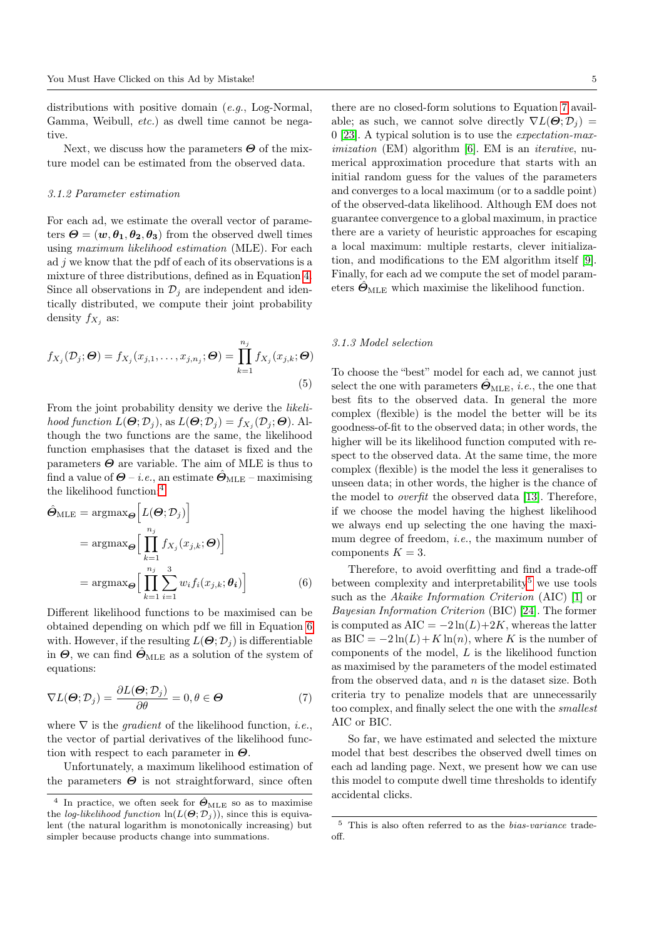distributions with positive domain (e.g., Log-Normal, Gamma, Weibull, etc.) as dwell time cannot be negative.

Next, we discuss how the parameters  $\Theta$  of the mixture model can be estimated from the observed data.

## 3.1.2 Parameter estimation

For each ad, we estimate the overall vector of parameters  $\boldsymbol{\Theta} = (\boldsymbol{w}, \theta_1, \theta_2, \theta_3)$  from the observed dwell times using maximum likelihood estimation (MLE). For each ad  $j$  we know that the pdf of each of its observations is a mixture of three distributions, defined as in Equation [4.](#page-3-2) Since all observations in  $\mathcal{D}_i$  are independent and identically distributed, we compute their joint probability density  $f_{X_j}$  as:

$$
f_{X_j}(\mathcal{D}_j; \boldsymbol{\Theta}) = f_{X_j}(x_{j,1}, \dots, x_{j,n_j}; \boldsymbol{\Theta}) = \prod_{k=1}^{n_j} f_{X_j}(x_{j,k}; \boldsymbol{\Theta})
$$
\n(5)

From the joint probability density we derive the likelihood function  $L(\boldsymbol{\Theta};\mathcal{D}_j),$  as  $L(\boldsymbol{\Theta};\mathcal{D}_j) = f_{X_j}(\mathcal{D}_j;\boldsymbol{\Theta}).$  Although the two functions are the same, the likelihood function emphasises that the dataset is fixed and the parameters  $\Theta$  are variable. The aim of MLE is thus to find a value of  $\boldsymbol{\Theta}$  – *i.e.*, an estimate  $\boldsymbol{\Theta}_{MLE}$  – maximising the likelihood function:[4](#page-4-0)

<span id="page-4-1"></span>
$$
\hat{\boldsymbol{\Theta}}_{\text{MLE}} = \operatorname{argmax}_{\boldsymbol{\Theta}} \left[ L(\boldsymbol{\Theta}; \mathcal{D}_j) \right]
$$
\n
$$
= \operatorname{argmax}_{\boldsymbol{\Theta}} \left[ \prod_{k=1}^{n_j} f_{X_j}(x_{j,k}; \boldsymbol{\Theta}) \right]
$$
\n
$$
= \operatorname{argmax}_{\boldsymbol{\Theta}} \left[ \prod_{k=1}^{n_j} \sum_{i=1}^3 w_i f_i(x_{j,k}; \boldsymbol{\theta}_i) \right] \tag{6}
$$

Different likelihood functions to be maximised can be obtained depending on which pdf we fill in Equation [6](#page-4-1) with. However, if the resulting  $L(\boldsymbol{\Theta}; \mathcal{D}_i)$  is differentiable in  $\Theta$ , we can find  $\hat{\Theta}_{MLE}$  as a solution of the system of equations:

<span id="page-4-2"></span>
$$
\nabla L(\boldsymbol{\Theta}; \mathcal{D}_j) = \frac{\partial L(\boldsymbol{\Theta}; \mathcal{D}_j)}{\partial \theta} = 0, \theta \in \boldsymbol{\Theta}
$$
 (7)

where  $\nabla$  is the *gradient* of the likelihood function, *i.e.*, the vector of partial derivatives of the likelihood function with respect to each parameter in  $\Theta$ .

Unfortunately, a maximum likelihood estimation of the parameters  $\Theta$  is not straightforward, since often

there are no closed-form solutions to Equation [7](#page-4-2) available; as such, we cannot solve directly  $\nabla L(\boldsymbol{\Theta}; \mathcal{D}_i)$  = 0 [\[23\]](#page-13-7). A typical solution is to use the expectation-max-imization (EM) algorithm [\[6\]](#page-13-8). EM is an *iterative*, numerical approximation procedure that starts with an initial random guess for the values of the parameters and converges to a local maximum (or to a saddle point) of the observed-data likelihood. Although EM does not guarantee convergence to a global maximum, in practice there are a variety of heuristic approaches for escaping a local maximum: multiple restarts, clever initialization, and modifications to the EM algorithm itself [\[9\]](#page-13-9). Finally, for each ad we compute the set of model parameters  $\Theta_{\text{MLE}}$  which maximise the likelihood function.

#### 3.1.3 Model selection

To choose the "best" model for each ad, we cannot just select the one with parameters  $\hat{\boldsymbol{\Theta}}_{\text{MLE}}$ , *i.e.*, the one that best fits to the observed data. In general the more complex (flexible) is the model the better will be its goodness-of-fit to the observed data; in other words, the higher will be its likelihood function computed with respect to the observed data. At the same time, the more complex (flexible) is the model the less it generalises to unseen data; in other words, the higher is the chance of the model to overfit the observed data [\[13\]](#page-13-10). Therefore, if we choose the model having the highest likelihood we always end up selecting the one having the maximum degree of freedom, i.e., the maximum number of components  $K = 3$ .

Therefore, to avoid overfitting and find a trade-off between complexity and interpretability<sup>[5](#page-4-3)</sup> we use tools such as the Akaike Information Criterion (AIC) [\[1\]](#page-12-2) or Bayesian Information Criterion (BIC) [\[24\]](#page-13-11). The former is computed as  $AIC = -2 \ln(L) + 2K$ , whereas the latter as  $BIC = -2 \ln(L) + K \ln(n)$ , where K is the number of components of the model,  $L$  is the likelihood function as maximised by the parameters of the model estimated from the observed data, and  $n$  is the dataset size. Both criteria try to penalize models that are unnecessarily too complex, and finally select the one with the smallest AIC or BIC.

So far, we have estimated and selected the mixture model that best describes the observed dwell times on each ad landing page. Next, we present how we can use this model to compute dwell time thresholds to identify accidental clicks.

<span id="page-4-0"></span><sup>&</sup>lt;sup>4</sup> In practice, we often seek for  $\hat{\Theta}_{MLE}$  so as to maximise the *log-likelihood function*  $ln(L(\Theta; \mathcal{D}_i))$ , since this is equivalent (the natural logarithm is monotonically increasing) but simpler because products change into summations.

<span id="page-4-3"></span><sup>5</sup> This is also often referred to as the bias-variance tradeoff.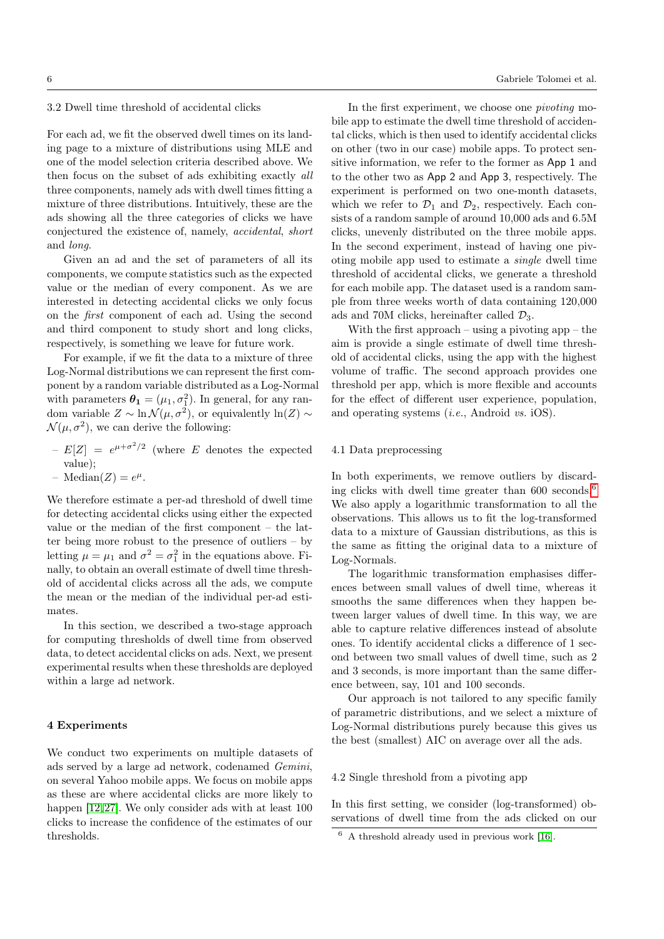3.2 Dwell time threshold of accidental clicks

For each ad, we fit the observed dwell times on its landing page to a mixture of distributions using MLE and one of the model selection criteria described above. We then focus on the subset of ads exhibiting exactly all three components, namely ads with dwell times fitting a mixture of three distributions. Intuitively, these are the ads showing all the three categories of clicks we have conjectured the existence of, namely, accidental, short and long.

Given an ad and the set of parameters of all its components, we compute statistics such as the expected value or the median of every component. As we are interested in detecting accidental clicks we only focus on the first component of each ad. Using the second and third component to study short and long clicks, respectively, is something we leave for future work.

For example, if we fit the data to a mixture of three Log-Normal distributions we can represent the first component by a random variable distributed as a Log-Normal with parameters  $\boldsymbol{\theta}_1 = (\mu_1, \sigma_1^2)$ . In general, for any random variable  $Z \sim \ln \mathcal{N}(\mu, \sigma^2)$ , or equivalently  $\ln(Z) \sim$  $\mathcal{N}(\mu, \sigma^2)$ , we can derive the following:

- $-E[Z] = e^{\mu + \sigma^2/2}$  (where E denotes the expected value);
- Median( $Z$ ) =  $e^{\mu}$ .

We therefore estimate a per-ad threshold of dwell time for detecting accidental clicks using either the expected value or the median of the first component – the latter being more robust to the presence of outliers – by letting  $\mu = \mu_1$  and  $\sigma^2 = \sigma_1^2$  in the equations above. Finally, to obtain an overall estimate of dwell time threshold of accidental clicks across all the ads, we compute the mean or the median of the individual per-ad estimates.

In this section, we described a two-stage approach for computing thresholds of dwell time from observed data, to detect accidental clicks on ads. Next, we present experimental results when these thresholds are deployed within a large ad network.

## <span id="page-5-0"></span>4 Experiments

We conduct two experiments on multiple datasets of ads served by a large ad network, codenamed Gemini, on several Yahoo mobile apps. We focus on mobile apps as these are where accidental clicks are more likely to happen [\[12,](#page-13-3)[27\]](#page-13-4). We only consider ads with at least 100 clicks to increase the confidence of the estimates of our thresholds.

In the first experiment, we choose one pivoting mobile app to estimate the dwell time threshold of accidental clicks, which is then used to identify accidental clicks on other (two in our case) mobile apps. To protect sensitive information, we refer to the former as App 1 and to the other two as App 2 and App 3, respectively. The experiment is performed on two one-month datasets, which we refer to  $\mathcal{D}_1$  and  $\mathcal{D}_2$ , respectively. Each consists of a random sample of around 10,000 ads and 6.5M clicks, unevenly distributed on the three mobile apps. In the second experiment, instead of having one pivoting mobile app used to estimate a single dwell time threshold of accidental clicks, we generate a threshold for each mobile app. The dataset used is a random sample from three weeks worth of data containing 120,000 ads and 70M clicks, hereinafter called  $\mathcal{D}_3$ .

With the first approach – using a pivoting app – the aim is provide a single estimate of dwell time threshold of accidental clicks, using the app with the highest volume of traffic. The second approach provides one threshold per app, which is more flexible and accounts for the effect of different user experience, population, and operating systems (i.e., Android vs. iOS).

## <span id="page-5-2"></span>4.1 Data preprocessing

In both experiments, we remove outliers by discarding clicks with dwell time greater than  $600$  $600$  seconds.<sup>6</sup> We also apply a logarithmic transformation to all the observations. This allows us to fit the log-transformed data to a mixture of Gaussian distributions, as this is the same as fitting the original data to a mixture of Log-Normals.

The logarithmic transformation emphasises differences between small values of dwell time, whereas it smooths the same differences when they happen between larger values of dwell time. In this way, we are able to capture relative differences instead of absolute ones. To identify accidental clicks a difference of 1 second between two small values of dwell time, such as 2 and 3 seconds, is more important than the same difference between, say, 101 and 100 seconds.

Our approach is not tailored to any specific family of parametric distributions, and we select a mixture of Log-Normal distributions purely because this gives us the best (smallest) AIC on average over all the ads.

#### 4.2 Single threshold from a pivoting app

In this first setting, we consider (log-transformed) observations of dwell time from the ads clicked on our

<span id="page-5-1"></span> $6A$  threshold already used in previous work [\[16\]](#page-13-1).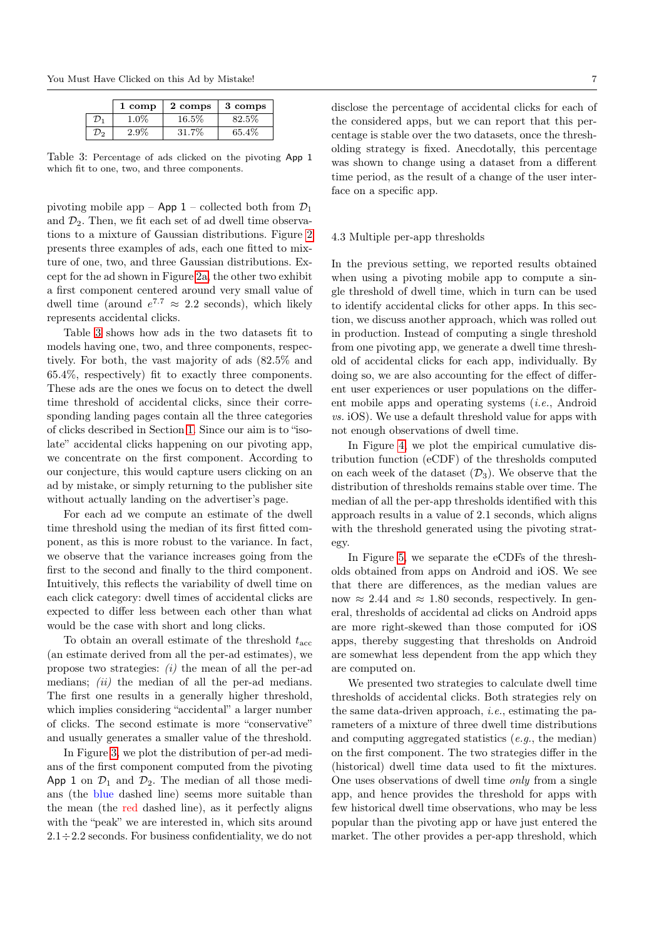<span id="page-6-0"></span>

| 1 comp | 2 comps  | 3 comps |
|--------|----------|---------|
| 1.0%   | $16.5\%$ | 82.5%   |
| 2.9%   | 31.7%    | 65.4%   |

Table 3: Percentage of ads clicked on the pivoting App 1 which fit to one, two, and three components.

pivoting mobile app – App 1 – collected both from  $\mathcal{D}_1$ and  $\mathcal{D}_2$ . Then, we fit each set of ad dwell time observations to a mixture of Gaussian distributions. Figure [2](#page-7-1) presents three examples of ads, each one fitted to mixture of one, two, and three Gaussian distributions. Except for the ad shown in Figure [2a,](#page-7-1) the other two exhibit a first component centered around very small value of dwell time (around  $e^{7.7} \approx 2.2$  seconds), which likely represents accidental clicks.

Table [3](#page-6-0) shows how ads in the two datasets fit to models having one, two, and three components, respectively. For both, the vast majority of ads (82.5% and 65.4%, respectively) fit to exactly three components. These ads are the ones we focus on to detect the dwell time threshold of accidental clicks, since their corresponding landing pages contain all the three categories of clicks described in Section [1.](#page-0-0) Since our aim is to "isolate" accidental clicks happening on our pivoting app, we concentrate on the first component. According to our conjecture, this would capture users clicking on an ad by mistake, or simply returning to the publisher site without actually landing on the advertiser's page.

For each ad we compute an estimate of the dwell time threshold using the median of its first fitted component, as this is more robust to the variance. In fact, we observe that the variance increases going from the first to the second and finally to the third component. Intuitively, this reflects the variability of dwell time on each click category: dwell times of accidental clicks are expected to differ less between each other than what would be the case with short and long clicks.

To obtain an overall estimate of the threshold  $t_{\text{acc}}$ (an estimate derived from all the per-ad estimates), we propose two strategies:  $(i)$  the mean of all the per-ad medians;  $(ii)$  the median of all the per-ad medians. The first one results in a generally higher threshold, which implies considering "accidental" a larger number of clicks. The second estimate is more "conservative" and usually generates a smaller value of the threshold.

In Figure [3,](#page-7-2) we plot the distribution of per-ad medians of the first component computed from the pivoting App 1 on  $\mathcal{D}_1$  and  $\mathcal{D}_2$ . The median of all those medians (the blue dashed line) seems more suitable than the mean (the red dashed line), as it perfectly aligns with the "peak" we are interested in, which sits around  $2.1 \div 2.2$  seconds. For business confidentiality, we do not disclose the percentage of accidental clicks for each of the considered apps, but we can report that this percentage is stable over the two datasets, once the thresholding strategy is fixed. Anecdotally, this percentage was shown to change using a dataset from a different time period, as the result of a change of the user interface on a specific app.

### 4.3 Multiple per-app thresholds

In the previous setting, we reported results obtained when using a pivoting mobile app to compute a single threshold of dwell time, which in turn can be used to identify accidental clicks for other apps. In this section, we discuss another approach, which was rolled out in production. Instead of computing a single threshold from one pivoting app, we generate a dwell time threshold of accidental clicks for each app, individually. By doing so, we are also accounting for the effect of different user experiences or user populations on the different mobile apps and operating systems (i.e., Android vs. iOS). We use a default threshold value for apps with not enough observations of dwell time.

In Figure [4,](#page-8-0) we plot the empirical cumulative distribution function (eCDF) of the thresholds computed on each week of the dataset  $(\mathcal{D}_3)$ . We observe that the distribution of thresholds remains stable over time. The median of all the per-app thresholds identified with this approach results in a value of 2.1 seconds, which aligns with the threshold generated using the pivoting strategy.

In Figure [5,](#page-8-1) we separate the eCDFs of the thresholds obtained from apps on Android and iOS. We see that there are differences, as the median values are now  $\approx 2.44$  and  $\approx 1.80$  seconds, respectively. In general, thresholds of accidental ad clicks on Android apps are more right-skewed than those computed for iOS apps, thereby suggesting that thresholds on Android are somewhat less dependent from the app which they are computed on.

We presented two strategies to calculate dwell time thresholds of accidental clicks. Both strategies rely on the same data-driven approach, i.e., estimating the parameters of a mixture of three dwell time distributions and computing aggregated statistics (e.g., the median) on the first component. The two strategies differ in the (historical) dwell time data used to fit the mixtures. One uses observations of dwell time only from a single app, and hence provides the threshold for apps with few historical dwell time observations, who may be less popular than the pivoting app or have just entered the market. The other provides a per-app threshold, which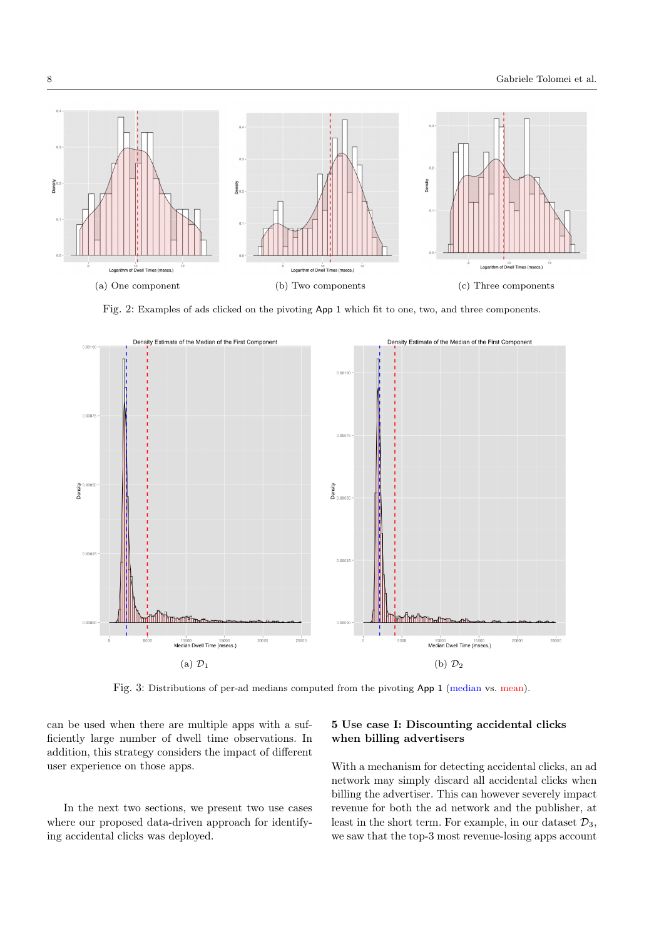<span id="page-7-1"></span>

Fig. 2: Examples of ads clicked on the pivoting App 1 which fit to one, two, and three components.

<span id="page-7-2"></span>

Fig. 3: Distributions of per-ad medians computed from the pivoting App 1 (median vs. mean).

can be used when there are multiple apps with a sufficiently large number of dwell time observations. In addition, this strategy considers the impact of different user experience on those apps.

In the next two sections, we present two use cases where our proposed data-driven approach for identifying accidental clicks was deployed.

# <span id="page-7-0"></span>5 Use case I: Discounting accidental clicks when billing advertisers

With a mechanism for detecting accidental clicks, an ad network may simply discard all accidental clicks when billing the advertiser. This can however severely impact revenue for both the ad network and the publisher, at least in the short term. For example, in our dataset  $\mathcal{D}_3$ , we saw that the top-3 most revenue-losing apps account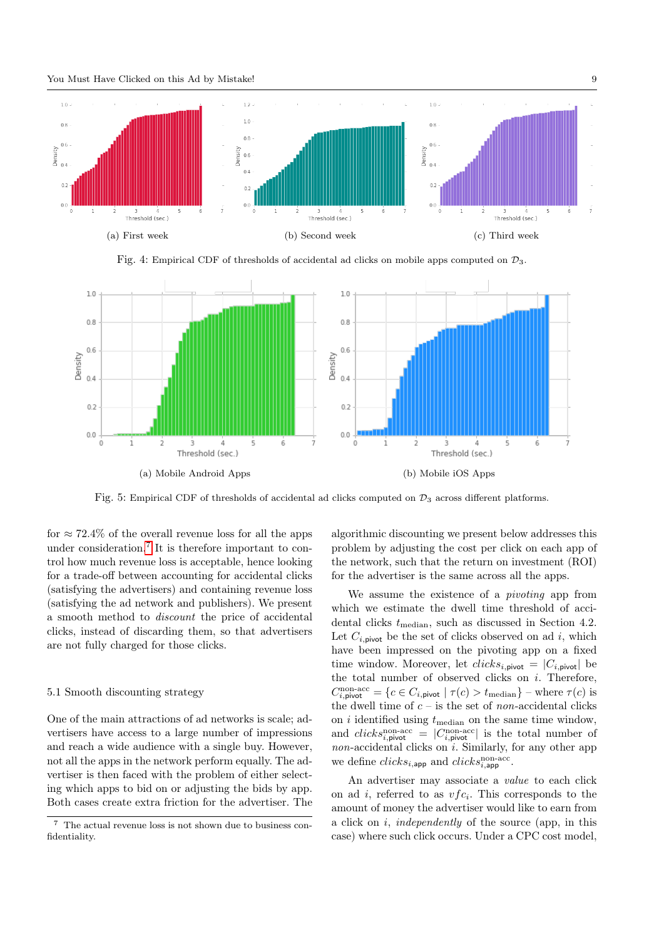You Must Have Clicked on this Ad by Mistake! 9

<span id="page-8-0"></span>

Fig. 4: Empirical CDF of thresholds of accidental ad clicks on mobile apps computed on  $\mathcal{D}_3$ .

<span id="page-8-1"></span>

Fig. 5: Empirical CDF of thresholds of accidental ad clicks computed on  $\mathcal{D}_3$  across different platforms.

for  $\approx 72.4\%$  of the overall revenue loss for all the apps under consideration.[7](#page-8-2) It is therefore important to control how much revenue loss is acceptable, hence looking for a trade-off between accounting for accidental clicks (satisfying the advertisers) and containing revenue loss (satisfying the ad network and publishers). We present a smooth method to discount the price of accidental clicks, instead of discarding them, so that advertisers are not fully charged for those clicks.

## 5.1 Smooth discounting strategy

One of the main attractions of ad networks is scale; advertisers have access to a large number of impressions and reach a wide audience with a single buy. However, not all the apps in the network perform equally. The advertiser is then faced with the problem of either selecting which apps to bid on or adjusting the bids by app. Both cases create extra friction for the advertiser. The

algorithmic discounting we present below addresses this problem by adjusting the cost per click on each app of the network, such that the return on investment (ROI) for the advertiser is the same across all the apps.

We assume the existence of a pivoting app from which we estimate the dwell time threshold of accidental clicks  $t_{\text{median}}$ , such as discussed in Section 4.2. Let  $C_{i,\text{pivot}}$  be the set of clicks observed on ad i, which have been impressed on the pivoting app on a fixed time window. Moreover, let  $clicks_{i,\text{pivot}} = |C_{i,\text{pivot}}|$  be the total number of observed clicks on  $i$ . Therefore,  $C_{i,\text{pivot}}^{\text{non-acc}} = \{c \in C_{i,\text{pivot}} \mid \tau(c) > t_{\text{median}}\}$  – where  $\tau(c)$  is the dwell time of  $c -$  is the set of non-accidental clicks on  $i$  identified using  $t_{\text{median}}$  on the same time window, and  $clicks_{i,\text{pivot}}^{\text{non-acc}} = |C_{i,\text{pivot}}^{\text{non-acc}}|$  is the total number of non-accidental clicks on  $i$ . Similarly, for any other app we define  $clicks_{i,app}$  and  $clicks_{i,app}^{\text{non-acc}}$ .

An advertiser may associate a value to each click on ad i, referred to as  $vfc_i$ . This corresponds to the amount of money the advertiser would like to earn from a click on  $i$ , independently of the source (app, in this case) where such click occurs. Under a CPC cost model,

<span id="page-8-2"></span><sup>7</sup> The actual revenue loss is not shown due to business confidentiality.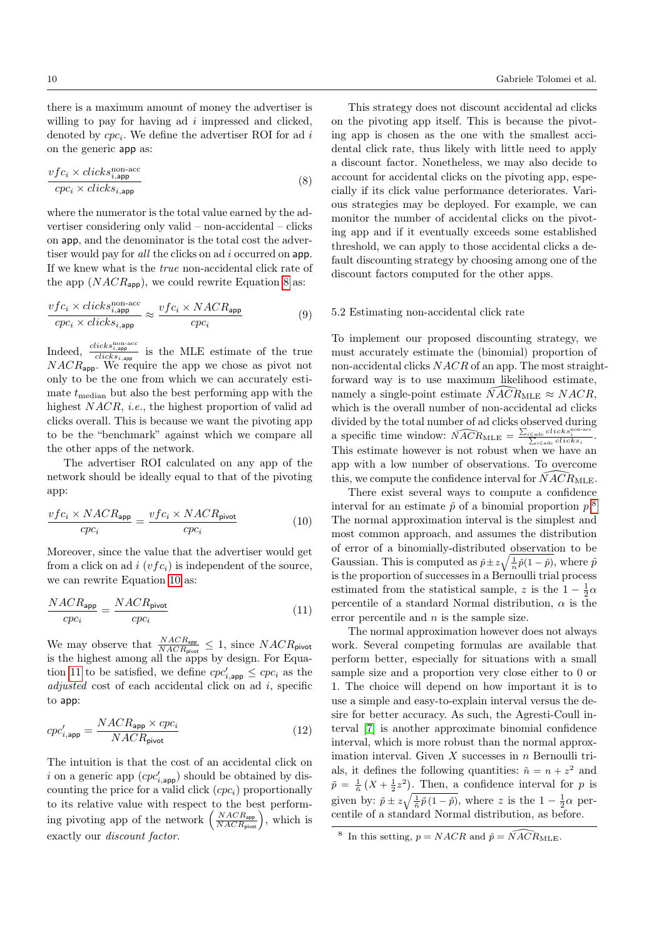there is a maximum amount of money the advertiser is willing to pay for having ad  $i$  impressed and clicked, denoted by  $cpc_i$ . We define the advertiser ROI for ad i on the generic app as:

<span id="page-9-0"></span>
$$
\frac{vfc_i \times clicks_{i,\text{app}}^{\text{non-acc}}}{cpc_i \times clicks_{i,\text{app}}}
$$
\n(8)

where the numerator is the total value earned by the advertiser considering only valid – non-accidental – clicks on app, and the denominator is the total cost the advertiser would pay for *all* the clicks on ad *i* occurred on app. If we knew what is the true non-accidental click rate of the app  $(NACR_{app})$ , we could rewrite Equation [8](#page-9-0) as:

$$
\frac{vfc_i \times clicks_{i,\text{app}}^{\text{non-acc}}}{cpc_i \times clicks_{i,\text{app}}} \approx \frac{vfc_i \times NACR_{\text{app}}}{cpc_i}
$$
 (9)

Indeed,  $\frac{clicks_{i,app}^{\text{non-acc}}}{clicks_{i,app}}$  is the MLE estimate of the true  $NACR<sub>app</sub>$ . We require the app we chose as pivot not only to be the one from which we can accurately estimate  $t_{\text{median}}$  but also the best performing app with the highest NACR, i.e., the highest proportion of valid ad clicks overall. This is because we want the pivoting app to be the "benchmark" against which we compare all the other apps of the network.

<span id="page-9-1"></span>The advertiser ROI calculated on any app of the network should be ideally equal to that of the pivoting app:

$$
\frac{vfc_i \times NACR_{\text{app}}}{cpc_i} = \frac{vfc_i \times NACR_{\text{pivot}}}{cpc_i}
$$
 (10)

Moreover, since the value that the advertiser would get from a click on ad i  $(vfc_i)$  is independent of the source, we can rewrite Equation [10](#page-9-1) as:

$$
\frac{NACR_{\text{app}}}{cpc_i} = \frac{NACR_{\text{pivot}}}{cpc_i} \tag{11}
$$

We may observe that  $\frac{NACR_{\text{app}}}{NACR_{\text{pivot}}} \leq 1$ , since  $NACR_{\text{pivot}}$ is the highest among all the apps by design. For Equa-tion [11](#page-9-2) to be satisfied, we define  $cpc'_{i,\mathsf{app}} \leq cpc_i$  as the adjusted cost of each accidental click on ad  $i$ , specific to app:

<span id="page-9-4"></span>
$$
cpc'_{i,\text{app}} = \frac{NACR_{\text{app}} \times cpc_i}{NACR_{\text{pivot}}}
$$
\n(12)

The intuition is that the cost of an accidental click on i on a generic app  $(cpc'_{i,\mathsf{app}})$  should be obtained by discounting the price for a valid click  $(cpc_i)$  proportionally to its relative value with respect to the best performing pivoting app of the network  $\left(\frac{NACR_{app}}{NACR_{\text{pivot}}}\right)$ , which is exactly our discount factor.

This strategy does not discount accidental ad clicks on the pivoting app itself. This is because the pivoting app is chosen as the one with the smallest accidental click rate, thus likely with little need to apply a discount factor. Nonetheless, we may also decide to account for accidental clicks on the pivoting app, especially if its click value performance deteriorates. Various strategies may be deployed. For example, we can monitor the number of accidental clicks on the pivoting app and if it eventually exceeds some established threshold, we can apply to those accidental clicks a default discounting strategy by choosing among one of the discount factors computed for the other apps.

#### 5.2 Estimating non-accidental click rate

To implement our proposed discounting strategy, we must accurately estimate the (binomial) proportion of non-accidental clicks NACR of an app. The most straightforward way is to use maximum likelihood estimate, namely a single-point estimate  $\widehat{N}ACR_{MLE} \approx NACR$ , which is the overall number of non-accidental ad clicks divided by the total number of ad clicks observed during a specific time window:  $\widehat{NACR}_{\text{MLE}} = \frac{\sum_{i \in \text{ads}} clicks_i^{\text{no-nacc}}}{\sum_{i \in \text{ads}} clicks_i}$ . This estimate however is not robust when we have an app with a low number of observations. To overcome this, we compute the confidence interval for  $NACR_{MLE}$ .

There exist several ways to compute a confidence interval for an estimate  $\hat{p}$  of a binomial proportion  $p^8$  $p^8$ . The normal approximation interval is the simplest and most common approach, and assumes the distribution of error of a binomially-distributed observation to be Gaussian. This is computed as  $\hat{p} \pm z \sqrt{\frac{1}{n}\hat{p}(1-\hat{p})}$ , where  $\hat{p}$ is the proportion of successes in a Bernoulli trial process estimated from the statistical sample, z is the  $1 - \frac{1}{2}\alpha$ percentile of a standard Normal distribution,  $\alpha$  is the error percentile and n is the sample size.

<span id="page-9-2"></span>The normal approximation however does not always work. Several competing formulas are available that perform better, especially for situations with a small sample size and a proportion very close either to 0 or 1. The choice will depend on how important it is to use a simple and easy-to-explain interval versus the desire for better accuracy. As such, the Agresti-Coull interval [\[7\]](#page-13-12) is another approximate binomial confidence interval, which is more robust than the normal approximation interval. Given  $X$  successes in  $n$  Bernoulli trials, it defines the following quantities:  $\tilde{n} = n + z^2$  and  $\tilde{p} = \frac{1}{\tilde{n}} (X + \frac{1}{2}z^2)$ . Then, a confidence interval for p is given by:  $\tilde{p} \pm z \sqrt{\frac{1}{\tilde{n}} \tilde{p}(1-\tilde{p})}$ , where z is the  $1-\frac{1}{2}\alpha$  percentile of a standard Normal distribution, as before.

<span id="page-9-3"></span><sup>&</sup>lt;sup>8</sup> In this setting,  $p = NACR$  and  $\hat{p} = \widehat{NACR}_{\text{MLE}}$ .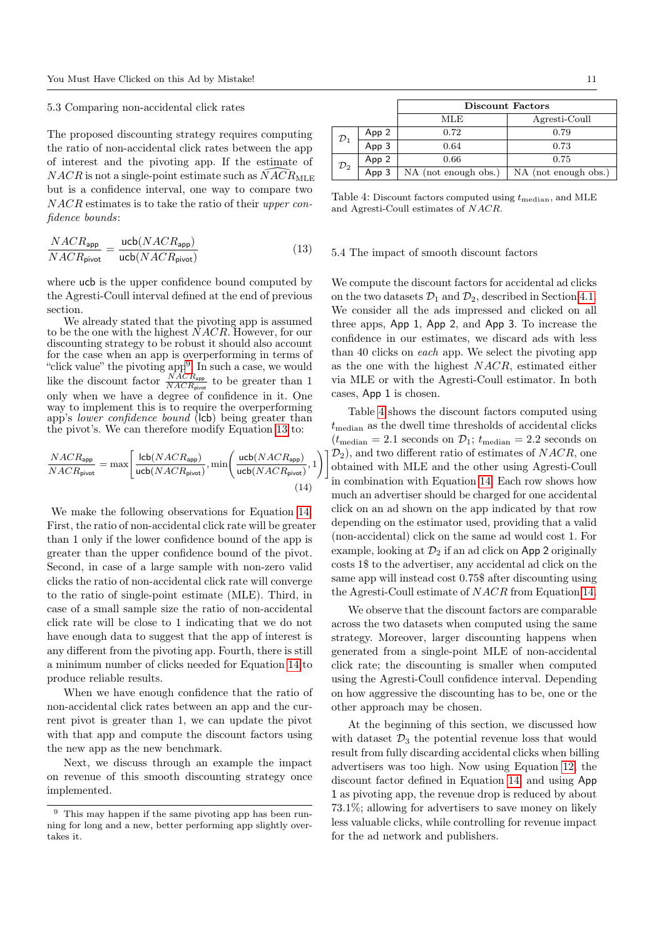#### 5.3 Comparing non-accidental click rates

The proposed discounting strategy requires computing the ratio of non-accidental click rates between the app of interest and the pivoting app. If the estimate of  $NACR$  is not a single-point estimate such as  $\bar{N}ACR_{\ \ MLE}$ but is a confidence interval, one way to compare two NACR estimates is to take the ratio of their upper confidence bounds:

<span id="page-10-1"></span>
$$
\frac{NACR_{\text{app}}}{NACR_{\text{pivot}}} = \frac{\text{ucb}(NACR_{\text{app}})}{\text{ucb}(NACR_{\text{pivot}})}\tag{13}
$$

where uch is the upper confidence bound computed by the Agresti-Coull interval defined at the end of previous section.

We already stated that the pivoting app is assumed to be the one with the highest NACR. However, for our discounting strategy to be robust it should also account for the case when an app is overperforming in terms of "click value" the pivoting app[9](#page-10-0) . In such a case, we would like the discount factor  $\frac{NACR_{app}}{NACR_{\text{pivot}}}$  to be greater than 1 only when we have a degree of confidence in it. One way to implement this is to require the overperforming app's lower confidence bound (lcb) being greater than the pivot's. We can therefore modify Equation [13](#page-10-1) to:

$$
\frac{NACR_{\text{app}}}{NACR_{\text{pivot}}} = \max \left[ \frac{\text{lcb}(NACR_{\text{app}})}{\text{ucb}(NACR_{\text{pivot}})}, \min \left( \frac{\text{ucb}(NACR_{\text{app}})}{\text{ucb}(NACR_{\text{pivot}})}, 1 \right) \right]
$$
\n(14)

We make the following observations for Equation [14.](#page-10-2) First, the ratio of non-accidental click rate will be greater than 1 only if the lower confidence bound of the app is greater than the upper confidence bound of the pivot. Second, in case of a large sample with non-zero valid clicks the ratio of non-accidental click rate will converge to the ratio of single-point estimate (MLE). Third, in case of a small sample size the ratio of non-accidental click rate will be close to 1 indicating that we do not have enough data to suggest that the app of interest is any different from the pivoting app. Fourth, there is still a minimum number of clicks needed for Equation [14](#page-10-2) to produce reliable results.

When we have enough confidence that the ratio of non-accidental click rates between an app and the current pivot is greater than 1, we can update the pivot with that app and compute the discount factors using the new app as the new benchmark.

Next, we discuss through an example the impact on revenue of this smooth discounting strategy once implemented.

<span id="page-10-3"></span>

|                 |                                       | <b>Discount Factors</b> |                      |  |  |
|-----------------|---------------------------------------|-------------------------|----------------------|--|--|
|                 |                                       | MLE                     | Agresti-Coull        |  |  |
| $\mathcal{D}_1$ |                                       | 0.72                    | 0.79                 |  |  |
|                 | $\frac{\text{App } 2}{\text{App } 3}$ | 0.64                    | 0.73                 |  |  |
| $\mathcal{D}_2$ | App 2                                 | 0.66                    | 0.75                 |  |  |
|                 | App 3                                 | NA (not enough obs.)    | NA (not enough obs.) |  |  |

Table 4: Discount factors computed using  $t_{\text{median}}$ , and MLE and Agresti-Coull estimates of NACR.

#### 5.4 The impact of smooth discount factors

We compute the discount factors for accidental ad clicks on the two datasets  $\mathcal{D}_1$  and  $\mathcal{D}_2$ , described in Section [4.1.](#page-5-2) We consider all the ads impressed and clicked on all three apps, App 1, App 2, and App 3. To increase the confidence in our estimates, we discard ads with less than 40 clicks on each app. We select the pivoting app as the one with the highest NACR, estimated either via MLE or with the Agresti-Coull estimator. In both cases, App 1 is chosen.

<span id="page-10-2"></span>Table [4](#page-10-3) shows the discount factors computed using  $t_{\text{median}}$  as the dwell time thresholds of accidental clicks  $(t_{\text{median}} = 2.1 \text{ seconds on } \mathcal{D}_1; t_{\text{median}} = 2.2 \text{ seconds on}$  $\mathcal{D}_2$ , and two different ratio of estimates of NACR, one obtained with MLE and the other using Agresti-Coull in combination with Equation [14.](#page-10-2) Each row shows how much an advertiser should be charged for one accidental click on an ad shown on the app indicated by that row depending on the estimator used, providing that a valid (non-accidental) click on the same ad would cost 1. For example, looking at  $\mathcal{D}_2$  if an ad click on App 2 originally costs 1\$ to the advertiser, any accidental ad click on the same app will instead cost 0.75\$ after discounting using the Agresti-Coull estimate of NACR from Equation [14.](#page-10-2)

We observe that the discount factors are comparable across the two datasets when computed using the same strategy. Moreover, larger discounting happens when generated from a single-point MLE of non-accidental click rate; the discounting is smaller when computed using the Agresti-Coull confidence interval. Depending on how aggressive the discounting has to be, one or the other approach may be chosen.

At the beginning of this section, we discussed how with dataset  $\mathcal{D}_3$  the potential revenue loss that would result from fully discarding accidental clicks when billing advertisers was too high. Now using Equation [12,](#page-9-4) the discount factor defined in Equation [14,](#page-10-2) and using App 1 as pivoting app, the revenue drop is reduced by about 73.1%; allowing for advertisers to save money on likely less valuable clicks, while controlling for revenue impact for the ad network and publishers.

<span id="page-10-0"></span><sup>9</sup> This may happen if the same pivoting app has been running for long and a new, better performing app slightly overtakes it.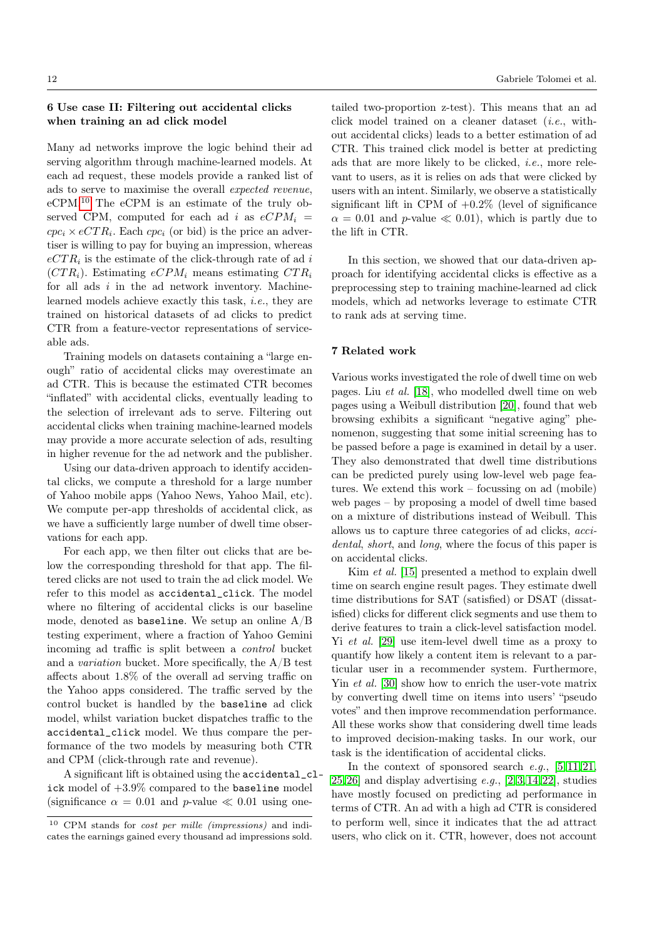# <span id="page-11-0"></span>6 Use case II: Filtering out accidental clicks when training an ad click model

Many ad networks improve the logic behind their ad serving algorithm through machine-learned models. At each ad request, these models provide a ranked list of ads to serve to maximise the overall expected revenue, eCPM.[10](#page-11-2) The eCPM is an estimate of the truly observed CPM, computed for each ad i as  $eCPM_i$  =  $cpc_i \times eCTR_i$ . Each  $cpc_i$  (or bid) is the price an advertiser is willing to pay for buying an impression, whereas  $eCTR_i$  is the estimate of the click-through rate of ad i  $(CTR_i)$ . Estimating  $eCPM_i$  means estimating  $CTR_i$ for all ads  $i$  in the ad network inventory. Machinelearned models achieve exactly this task, i.e., they are trained on historical datasets of ad clicks to predict CTR from a feature-vector representations of serviceable ads.

Training models on datasets containing a "large enough" ratio of accidental clicks may overestimate an ad CTR. This is because the estimated CTR becomes "inflated" with accidental clicks, eventually leading to the selection of irrelevant ads to serve. Filtering out accidental clicks when training machine-learned models may provide a more accurate selection of ads, resulting in higher revenue for the ad network and the publisher.

Using our data-driven approach to identify accidental clicks, we compute a threshold for a large number of Yahoo mobile apps (Yahoo News, Yahoo Mail, etc). We compute per-app thresholds of accidental click, as we have a sufficiently large number of dwell time observations for each app.

For each app, we then filter out clicks that are below the corresponding threshold for that app. The filtered clicks are not used to train the ad click model. We refer to this model as accidental\_click. The model where no filtering of accidental clicks is our baseline mode, denoted as baseline. We setup an online A/B testing experiment, where a fraction of Yahoo Gemini incoming ad traffic is split between a control bucket and a variation bucket. More specifically, the A/B test affects about 1.8% of the overall ad serving traffic on the Yahoo apps considered. The traffic served by the control bucket is handled by the baseline ad click model, whilst variation bucket dispatches traffic to the accidental\_click model. We thus compare the performance of the two models by measuring both CTR and CPM (click-through rate and revenue).

A significant lift is obtained using the accidental\_click model of  $+3.9\%$  compared to the baseline model (significance  $\alpha = 0.01$  and p-value  $\ll 0.01$  using onetailed two-proportion z-test). This means that an ad click model trained on a cleaner dataset (i.e., without accidental clicks) leads to a better estimation of ad CTR. This trained click model is better at predicting ads that are more likely to be clicked, i.e., more relevant to users, as it is relies on ads that were clicked by users with an intent. Similarly, we observe a statistically significant lift in CPM of  $+0.2\%$  (level of significance  $\alpha = 0.01$  and p-value  $\ll 0.01$ , which is partly due to the lift in CTR.

In this section, we showed that our data-driven approach for identifying accidental clicks is effective as a preprocessing step to training machine-learned ad click models, which ad networks leverage to estimate CTR to rank ads at serving time.

## <span id="page-11-1"></span>7 Related work

Various works investigated the role of dwell time on web pages. Liu et al. [\[18\]](#page-13-13), who modelled dwell time on web pages using a Weibull distribution [\[20\]](#page-13-14), found that web browsing exhibits a significant "negative aging" phenomenon, suggesting that some initial screening has to be passed before a page is examined in detail by a user. They also demonstrated that dwell time distributions can be predicted purely using low-level web page features. We extend this work – focussing on ad (mobile) web pages – by proposing a model of dwell time based on a mixture of distributions instead of Weibull. This allows us to capture three categories of ad clicks, accidental, short, and long, where the focus of this paper is on accidental clicks.

Kim et al. [\[15\]](#page-13-15) presented a method to explain dwell time on search engine result pages. They estimate dwell time distributions for SAT (satisfied) or DSAT (dissatisfied) clicks for different click segments and use them to derive features to train a click-level satisfaction model. Yi et al. [\[29\]](#page-13-2) use item-level dwell time as a proxy to quantify how likely a content item is relevant to a particular user in a recommender system. Furthermore, Yin et al. [\[30\]](#page-13-16) show how to enrich the user-vote matrix by converting dwell time on items into users' "pseudo votes" and then improve recommendation performance. All these works show that considering dwell time leads to improved decision-making tasks. In our work, our task is the identification of accidental clicks.

In the context of sponsored search  $e.g., [5,11,21,$  $e.g., [5,11,21,$  $e.g., [5,11,21,$  $e.g., [5,11,21,$ [25,](#page-13-19)[26\]](#page-13-20) and display advertising  $e.g., [2,3,14,22]$  $e.g., [2,3,14,22]$  $e.g., [2,3,14,22]$  $e.g., [2,3,14,22]$  $e.g., [2,3,14,22]$ , studies have mostly focused on predicting ad performance in terms of CTR. An ad with a high ad CTR is considered to perform well, since it indicates that the ad attract users, who click on it. CTR, however, does not account

<span id="page-11-2"></span><sup>10</sup> CPM stands for cost per mille (impressions) and indicates the earnings gained every thousand ad impressions sold.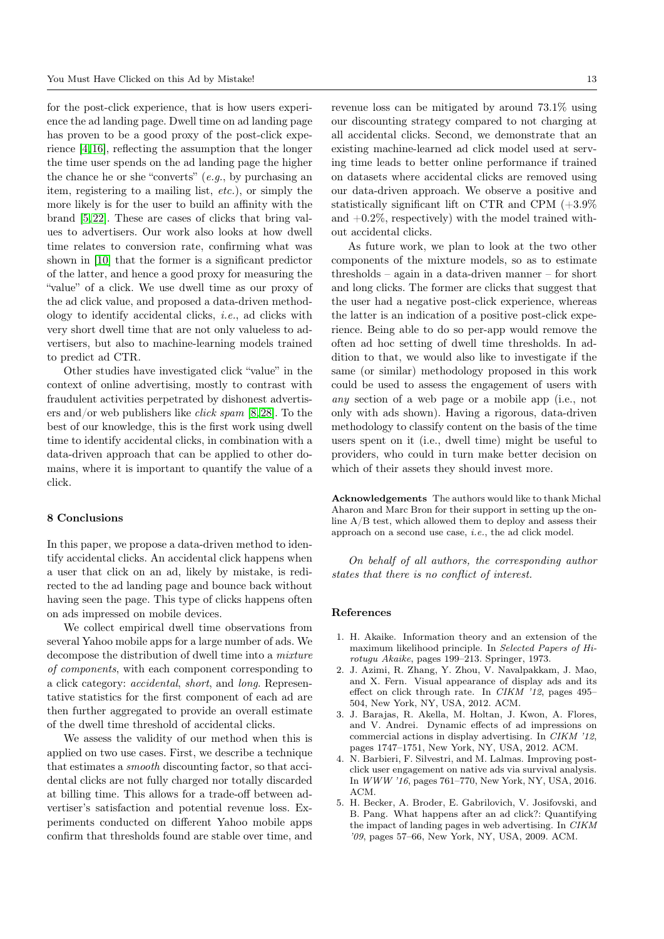for the post-click experience, that is how users experience the ad landing page. Dwell time on ad landing page has proven to be a good proxy of the post-click experience [\[4,](#page-12-0)[16\]](#page-13-1), reflecting the assumption that the longer the time user spends on the ad landing page the higher the chance he or she "converts"  $(e.g.,)$  by purchasing an item, registering to a mailing list, etc.), or simply the more likely is for the user to build an affinity with the brand [\[5,](#page-12-3)[22\]](#page-13-22). These are cases of clicks that bring values to advertisers. Our work also looks at how dwell time relates to conversion rate, confirming what was shown in [\[10\]](#page-13-0) that the former is a significant predictor of the latter, and hence a good proxy for measuring the "value" of a click. We use dwell time as our proxy of the ad click value, and proposed a data-driven methodology to identify accidental clicks, i.e., ad clicks with very short dwell time that are not only valueless to advertisers, but also to machine-learning models trained to predict ad CTR.

Other studies have investigated click "value" in the context of online advertising, mostly to contrast with fraudulent activities perpetrated by dishonest advertisers and/or web publishers like click spam [\[8,](#page-13-23)[28\]](#page-13-24). To the best of our knowledge, this is the first work using dwell time to identify accidental clicks, in combination with a data-driven approach that can be applied to other domains, where it is important to quantify the value of a click.

## <span id="page-12-1"></span>8 Conclusions

In this paper, we propose a data-driven method to identify accidental clicks. An accidental click happens when a user that click on an ad, likely by mistake, is redirected to the ad landing page and bounce back without having seen the page. This type of clicks happens often on ads impressed on mobile devices.

We collect empirical dwell time observations from several Yahoo mobile apps for a large number of ads. We decompose the distribution of dwell time into a mixture of components, with each component corresponding to a click category: accidental, short, and long. Representative statistics for the first component of each ad are then further aggregated to provide an overall estimate of the dwell time threshold of accidental clicks.

We assess the validity of our method when this is applied on two use cases. First, we describe a technique that estimates a smooth discounting factor, so that accidental clicks are not fully charged nor totally discarded at billing time. This allows for a trade-off between advertiser's satisfaction and potential revenue loss. Experiments conducted on different Yahoo mobile apps confirm that thresholds found are stable over time, and revenue loss can be mitigated by around 73.1% using our discounting strategy compared to not charging at all accidental clicks. Second, we demonstrate that an existing machine-learned ad click model used at serving time leads to better online performance if trained on datasets where accidental clicks are removed using our data-driven approach. We observe a positive and statistically significant lift on CTR and CPM  $(+3.9\%)$ and  $+0.2\%$ , respectively) with the model trained without accidental clicks.

As future work, we plan to look at the two other components of the mixture models, so as to estimate thresholds – again in a data-driven manner – for short and long clicks. The former are clicks that suggest that the user had a negative post-click experience, whereas the latter is an indication of a positive post-click experience. Being able to do so per-app would remove the often ad hoc setting of dwell time thresholds. In addition to that, we would also like to investigate if the same (or similar) methodology proposed in this work could be used to assess the engagement of users with any section of a web page or a mobile app (i.e., not only with ads shown). Having a rigorous, data-driven methodology to classify content on the basis of the time users spent on it (i.e., dwell time) might be useful to providers, who could in turn make better decision on which of their assets they should invest more.

Acknowledgements The authors would like to thank Michal Aharon and Marc Bron for their support in setting up the online A/B test, which allowed them to deploy and assess their approach on a second use case, *i.e.*, the ad click model.

On behalf of all authors, the corresponding author states that there is no conflict of interest.

#### References

- <span id="page-12-2"></span>1. H. Akaike. Information theory and an extension of the maximum likelihood principle. In Selected Papers of Hirotugu Akaike, pages 199–213. Springer, 1973.
- <span id="page-12-4"></span>2. J. Azimi, R. Zhang, Y. Zhou, V. Navalpakkam, J. Mao, and X. Fern. Visual appearance of display ads and its effect on click through rate. In CIKM '12, pages 495– 504, New York, NY, USA, 2012. ACM.
- <span id="page-12-5"></span>3. J. Barajas, R. Akella, M. Holtan, J. Kwon, A. Flores, and V. Andrei. Dynamic effects of ad impressions on commercial actions in display advertising. In CIKM '12, pages 1747–1751, New York, NY, USA, 2012. ACM.
- <span id="page-12-0"></span>4. N. Barbieri, F. Silvestri, and M. Lalmas. Improving postclick user engagement on native ads via survival analysis. In WWW '16, pages 761–770, New York, NY, USA, 2016. ACM.
- <span id="page-12-3"></span>5. H. Becker, A. Broder, E. Gabrilovich, V. Josifovski, and B. Pang. What happens after an ad click?: Quantifying the impact of landing pages in web advertising. In CIKM '09, pages 57–66, New York, NY, USA, 2009. ACM.